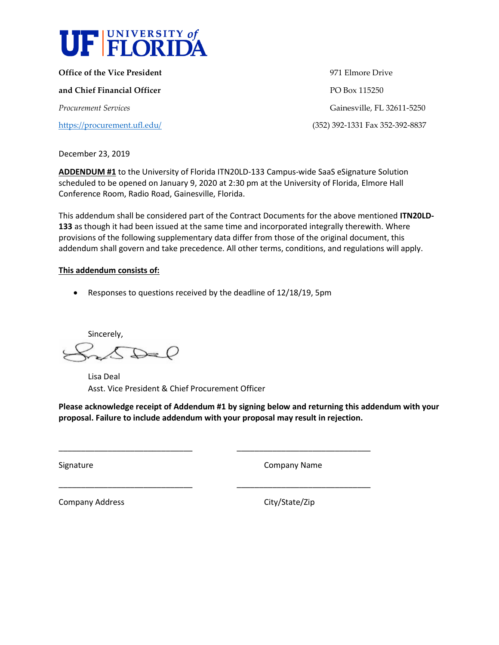

**Office of the Vice President** 2001 2002 2004 2004 2004 2005 2007 2009 2012 2013 2014 2015 2016 2017 2018 2019 201 **and Chief Financial Officer PO Box 115250** *Procurement Services* Gainesville, FL 32611-5250 <https://procurement.ufl.edu/>(352) 392-1331 Fax 352-392-8837

December 23, 2019

**ADDENDUM #1** to the University of Florida ITN20LD-133 Campus-wide SaaS eSignature Solution scheduled to be opened on January 9, 2020 at 2:30 pm at the University of Florida, Elmore Hall Conference Room, Radio Road, Gainesville, Florida.

This addendum shall be considered part of the Contract Documents for the above mentioned **ITN20LD-133** as though it had been issued at the same time and incorporated integrally therewith. Where provisions of the following supplementary data differ from those of the original document, this addendum shall govern and take precedence. All other terms, conditions, and regulations will apply.

## **This addendum consists of:**

• Responses to questions received by the deadline of 12/18/19, 5pm

Sincerely,  $\bigtriangleup$ 

> Lisa Deal Asst. Vice President & Chief Procurement Officer

**Please acknowledge receipt of Addendum #1 by signing below and returning this addendum with your proposal. Failure to include addendum with your proposal may result in rejection.** 

\_\_\_\_\_\_\_\_\_\_\_\_\_\_\_\_\_\_\_\_\_\_\_\_\_\_\_\_\_\_ \_\_\_\_\_\_\_\_\_\_\_\_\_\_\_\_\_\_\_\_\_\_\_\_\_\_\_\_\_\_

\_\_\_\_\_\_\_\_\_\_\_\_\_\_\_\_\_\_\_\_\_\_\_\_\_\_\_\_\_\_ \_\_\_\_\_\_\_\_\_\_\_\_\_\_\_\_\_\_\_\_\_\_\_\_\_\_\_\_\_\_

Signature **Company Name** 

Company Address Company Address City/State/Zip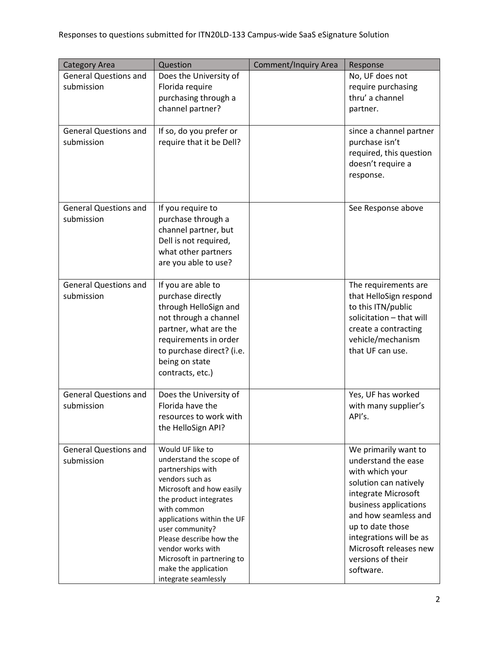| <b>Category Area</b>         | Question                                           | <b>Comment/Inquiry Area</b> | Response                       |
|------------------------------|----------------------------------------------------|-----------------------------|--------------------------------|
| <b>General Questions and</b> | Does the University of                             |                             | No, UF does not                |
| submission                   | Florida require                                    |                             | require purchasing             |
|                              | purchasing through a                               |                             | thru' a channel                |
|                              | channel partner?                                   |                             | partner.                       |
|                              |                                                    |                             |                                |
| <b>General Questions and</b> | If so, do you prefer or                            |                             | since a channel partner        |
| submission                   | require that it be Dell?                           |                             | purchase isn't                 |
|                              |                                                    |                             | required, this question        |
|                              |                                                    |                             | doesn't require a              |
|                              |                                                    |                             | response.                      |
|                              |                                                    |                             |                                |
| <b>General Questions and</b> | If you require to                                  |                             | See Response above             |
| submission                   | purchase through a                                 |                             |                                |
|                              | channel partner, but                               |                             |                                |
|                              | Dell is not required,                              |                             |                                |
|                              | what other partners                                |                             |                                |
|                              | are you able to use?                               |                             |                                |
|                              |                                                    |                             |                                |
| <b>General Questions and</b> | If you are able to                                 |                             | The requirements are           |
| submission                   | purchase directly                                  |                             | that HelloSign respond         |
|                              | through HelloSign and                              |                             | to this ITN/public             |
|                              | not through a channel                              |                             | solicitation - that will       |
|                              | partner, what are the                              |                             | create a contracting           |
|                              | requirements in order                              |                             | vehicle/mechanism              |
|                              | to purchase direct? (i.e.                          |                             | that UF can use.               |
|                              | being on state                                     |                             |                                |
|                              | contracts, etc.)                                   |                             |                                |
| <b>General Questions and</b> | Does the University of                             |                             | Yes, UF has worked             |
| submission                   | Florida have the                                   |                             | with many supplier's           |
|                              | resources to work with                             |                             | API's.                         |
|                              | the HelloSign API?                                 |                             |                                |
|                              |                                                    |                             |                                |
| <b>General Questions and</b> | Would UF like to                                   |                             | We primarily want to           |
| submission                   | understand the scope of                            |                             | understand the ease            |
|                              | partnerships with<br>vendors such as               |                             | with which your                |
|                              | Microsoft and how easily                           |                             | solution can natively          |
|                              | the product integrates                             |                             | integrate Microsoft            |
|                              | with common                                        |                             | business applications          |
|                              | applications within the UF                         |                             | and how seamless and           |
|                              | user community?                                    |                             | up to date those               |
|                              | Please describe how the                            |                             | integrations will be as        |
|                              | vendor works with                                  |                             | Microsoft releases new         |
|                              | Microsoft in partnering to<br>make the application |                             | versions of their<br>software. |
|                              | integrate seamlessly                               |                             |                                |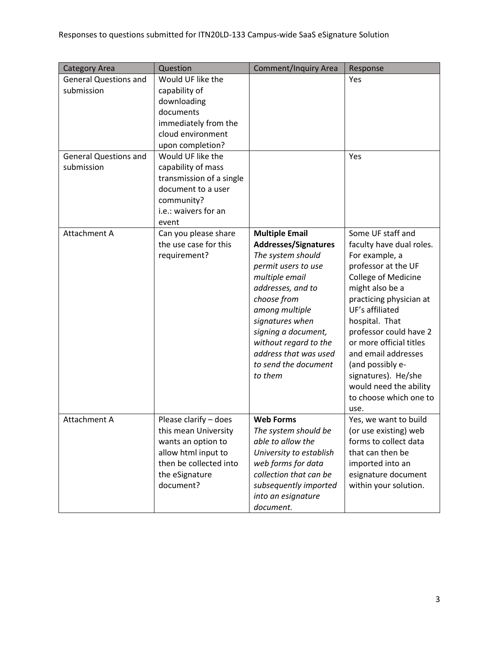| <b>Category Area</b>                                                                     | Question                                                                                                                                                                                                                                                                    | <b>Comment/Inquiry Area</b>                                                                                                                                                                                                                                                                             | Response                                                                                                                                                                                                                                                                                                                                                                            |
|------------------------------------------------------------------------------------------|-----------------------------------------------------------------------------------------------------------------------------------------------------------------------------------------------------------------------------------------------------------------------------|---------------------------------------------------------------------------------------------------------------------------------------------------------------------------------------------------------------------------------------------------------------------------------------------------------|-------------------------------------------------------------------------------------------------------------------------------------------------------------------------------------------------------------------------------------------------------------------------------------------------------------------------------------------------------------------------------------|
| <b>General Questions and</b><br>submission<br><b>General Questions and</b><br>submission | Would UF like the<br>capability of<br>downloading<br>documents<br>immediately from the<br>cloud environment<br>upon completion?<br>Would UF like the<br>capability of mass<br>transmission of a single<br>document to a user<br>community?<br>i.e.: waivers for an<br>event |                                                                                                                                                                                                                                                                                                         | Yes<br>Yes                                                                                                                                                                                                                                                                                                                                                                          |
| Attachment A                                                                             | Can you please share<br>the use case for this<br>requirement?                                                                                                                                                                                                               | <b>Multiple Email</b><br><b>Addresses/Signatures</b><br>The system should<br>permit users to use<br>multiple email<br>addresses, and to<br>choose from<br>among multiple<br>signatures when<br>signing a document,<br>without regard to the<br>address that was used<br>to send the document<br>to them | Some UF staff and<br>faculty have dual roles.<br>For example, a<br>professor at the UF<br>College of Medicine<br>might also be a<br>practicing physician at<br>UF's affiliated<br>hospital. That<br>professor could have 2<br>or more official titles<br>and email addresses<br>(and possibly e-<br>signatures). He/she<br>would need the ability<br>to choose which one to<br>use. |
| Attachment A                                                                             | Please clarify - does<br>this mean University<br>wants an option to<br>allow html input to<br>then be collected into<br>the eSignature<br>document?                                                                                                                         | <b>Web Forms</b><br>The system should be<br>able to allow the<br>University to establish<br>web forms for data<br>collection that can be<br>subsequently imported<br>into an esignature<br>document.                                                                                                    | Yes, we want to build<br>(or use existing) web<br>forms to collect data<br>that can then be<br>imported into an<br>esignature document<br>within your solution.                                                                                                                                                                                                                     |